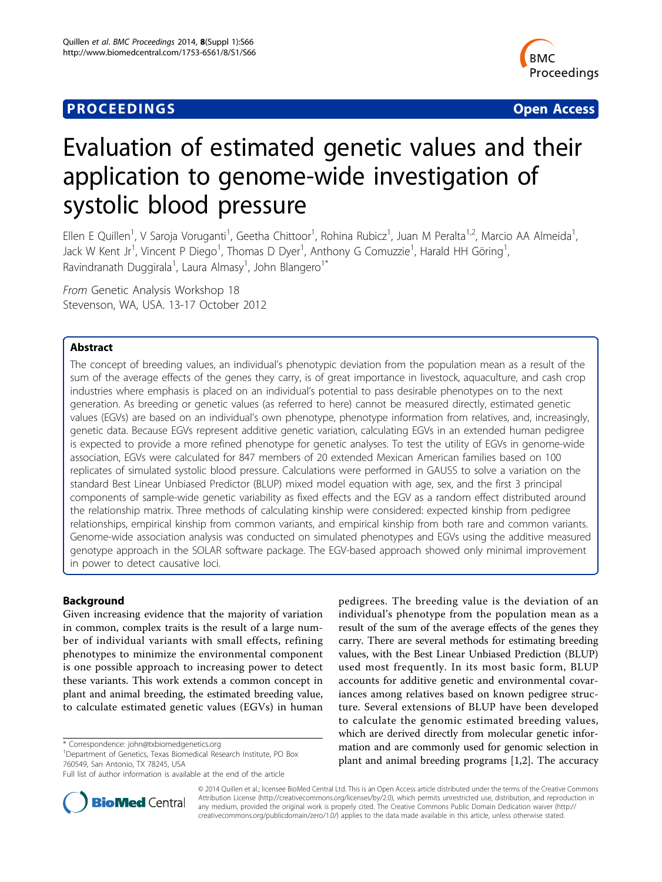# **PROCEEDINGS STATES CONSUMING S** Open Access **CONSUMING S**



# Evaluation of estimated genetic values and their application to genome-wide investigation of systolic blood pressure

Ellen E Quillen<sup>1</sup>, V Saroja Voruganti<sup>1</sup>, Geetha Chittoor<sup>1</sup>, Rohina Rubicz<sup>1</sup>, Juan M Peralta<sup>1,2</sup>, Marcio AA Almeida<sup>1</sup> , Jack W Kent Jr<sup>1</sup>, Vincent P Diego<sup>1</sup>, Thomas D Dyer<sup>1</sup>, Anthony G Comuzzie<sup>1</sup>, Harald HH Göring<sup>1</sup> , Ravindranath Duggirala<sup>1</sup>, Laura Almasy<sup>1</sup>, John Blangero<sup>1\*</sup>

From Genetic Analysis Workshop 18 Stevenson, WA, USA. 13-17 October 2012

# Abstract

The concept of breeding values, an individual's phenotypic deviation from the population mean as a result of the sum of the average effects of the genes they carry, is of great importance in livestock, aquaculture, and cash crop industries where emphasis is placed on an individual's potential to pass desirable phenotypes on to the next generation. As breeding or genetic values (as referred to here) cannot be measured directly, estimated genetic values (EGVs) are based on an individual's own phenotype, phenotype information from relatives, and, increasingly, genetic data. Because EGVs represent additive genetic variation, calculating EGVs in an extended human pedigree is expected to provide a more refined phenotype for genetic analyses. To test the utility of EGVs in genome-wide association, EGVs were calculated for 847 members of 20 extended Mexican American families based on 100 replicates of simulated systolic blood pressure. Calculations were performed in GAUSS to solve a variation on the standard Best Linear Unbiased Predictor (BLUP) mixed model equation with age, sex, and the first 3 principal components of sample-wide genetic variability as fixed effects and the EGV as a random effect distributed around the relationship matrix. Three methods of calculating kinship were considered: expected kinship from pedigree relationships, empirical kinship from common variants, and empirical kinship from both rare and common variants. Genome-wide association analysis was conducted on simulated phenotypes and EGVs using the additive measured genotype approach in the SOLAR software package. The EGV-based approach showed only minimal improvement in power to detect causative loci.

# Background

Given increasing evidence that the majority of variation in common, complex traits is the result of a large number of individual variants with small effects, refining phenotypes to minimize the environmental component is one possible approach to increasing power to detect these variants. This work extends a common concept in plant and animal breeding, the estimated breeding value, to calculate estimated genetic values (EGVs) in human

\* Correspondence: [john@txbiomedgenetics.org](mailto:john@txbiomedgenetics.org)

<sup>1</sup>Department of Genetics, Texas Biomedical Research Institute, PO Box 760549, San Antonio, TX 78245, USA

pedigrees. The breeding value is the deviation of an individual's phenotype from the population mean as a result of the sum of the average effects of the genes they carry. There are several methods for estimating breeding values, with the Best Linear Unbiased Prediction (BLUP) used most frequently. In its most basic form, BLUP accounts for additive genetic and environmental covariances among relatives based on known pedigree structure. Several extensions of BLUP have been developed to calculate the genomic estimated breeding values, which are derived directly from molecular genetic information and are commonly used for genomic selection in plant and animal breeding programs [[1,2\]](#page-3-0). The accuracy



© 2014 Quillen et al.; licensee BioMed Central Ltd. This is an Open Access article distributed under the terms of the Creative Commons Attribution License [\(http://creativecommons.org/licenses/by/2.0](http://creativecommons.org/licenses/by/2.0)), which permits unrestricted use, distribution, and reproduction in any medium, provided the original work is properly cited. The Creative Commons Public Domain Dedication waiver [\(http://](http://creativecommons.org/publicdomain/zero/1.0/) [creativecommons.org/publicdomain/zero/1.0/](http://creativecommons.org/publicdomain/zero/1.0/)) applies to the data made available in this article, unless otherwise stated.

Full list of author information is available at the end of the article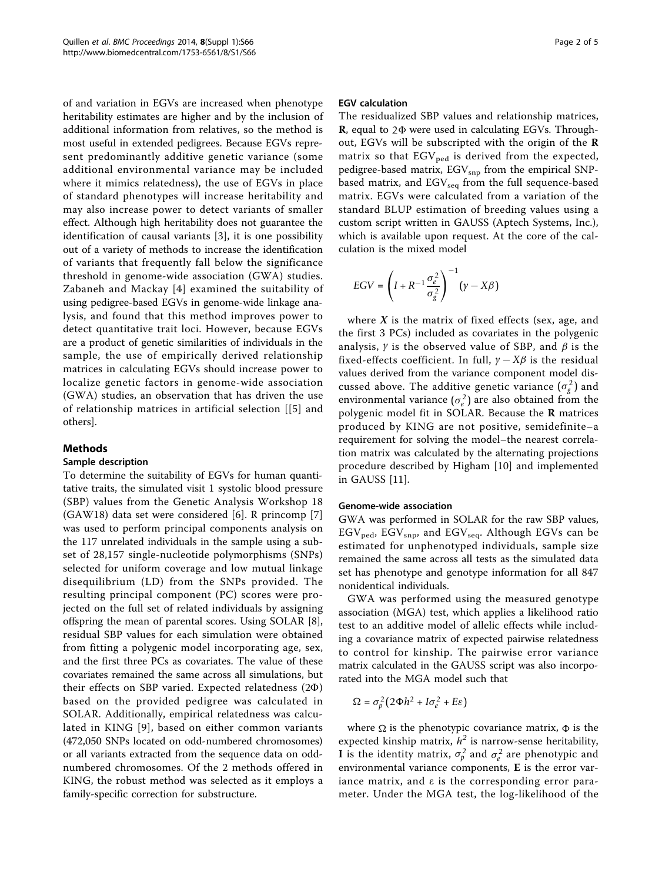of and variation in EGVs are increased when phenotype heritability estimates are higher and by the inclusion of additional information from relatives, so the method is most useful in extended pedigrees. Because EGVs represent predominantly additive genetic variance (some additional environmental variance may be included where it mimics relatedness), the use of EGVs in place of standard phenotypes will increase heritability and may also increase power to detect variants of smaller effect. Although high heritability does not guarantee the identification of causal variants [[3](#page-4-0)], it is one possibility out of a variety of methods to increase the identification of variants that frequently fall below the significance threshold in genome-wide association (GWA) studies. Zabaneh and Mackay [[4](#page-4-0)] examined the suitability of using pedigree-based EGVs in genome-wide linkage analysis, and found that this method improves power to detect quantitative trait loci. However, because EGVs are a product of genetic similarities of individuals in the sample, the use of empirically derived relationship matrices in calculating EGVs should increase power to localize genetic factors in genome-wide association (GWA) studies, an observation that has driven the use of relationship matrices in artificial selection [[[5](#page-4-0)] and others].

# Methods

# Sample description

To determine the suitability of EGVs for human quantitative traits, the simulated visit 1 systolic blood pressure (SBP) values from the Genetic Analysis Workshop 18 (GAW18) data set were considered [[6\]](#page-4-0). R princomp [\[7](#page-4-0)] was used to perform principal components analysis on the 117 unrelated individuals in the sample using a subset of 28,157 single-nucleotide polymorphisms (SNPs) selected for uniform coverage and low mutual linkage disequilibrium (LD) from the SNPs provided. The resulting principal component (PC) scores were projected on the full set of related individuals by assigning offspring the mean of parental scores. Using SOLAR [\[8](#page-4-0)], residual SBP values for each simulation were obtained from fitting a polygenic model incorporating age, sex, and the first three PCs as covariates. The value of these covariates remained the same across all simulations, but their effects on SBP varied. Expected relatedness  $(2\Phi)$ based on the provided pedigree was calculated in SOLAR. Additionally, empirical relatedness was calculated in KING [[9](#page-4-0)], based on either common variants (472,050 SNPs located on odd-numbered chromosomes) or all variants extracted from the sequence data on oddnumbered chromosomes. Of the 2 methods offered in KING, the robust method was selected as it employs a family-specific correction for substructure.

#### EGV calculation

The residualized SBP values and relationship matrices,  $\mathbf R$ , equal to 2 $\Phi$  were used in calculating EGVs. Throughout, EGVs will be subscripted with the origin of the R matrix so that  $EGV_{ped}$  is derived from the expected, pedigree-based matrix,  $EGV_{\text{sup}}$  from the empirical SNPbased matrix, and  $EGV_{seq}$  from the full sequence-based matrix. EGVs were calculated from a variation of the standard BLUP estimation of breeding values using a custom script written in GAUSS (Aptech Systems, Inc.), which is available upon request. At the core of the calculation is the mixed model

$$
EGV = \left(I + R^{-1} \frac{\sigma_e^2}{\sigma_g^2}\right)^{-1} \left(\gamma - X\beta\right)
$$

where  $X$  is the matrix of fixed effects (sex, age, and the first 3 PCs) included as covariates in the polygenic analysis,  $\gamma$  is the observed value of SBP, and  $\beta$  is the fixed-effects coefficient. In full,  $y - X\beta$  is the residual values derived from the variance component model discussed above. The additive genetic variance  $(\sigma_g^2)$  and environmental variance  $(\sigma_e^2)$  are also obtained from the polygenic model fit in SOLAR. Because the R matrices produced by KING are not positive, semidefinite–a requirement for solving the model–the nearest correlation matrix was calculated by the alternating projections procedure described by Higham [[10\]](#page-4-0) and implemented in GAUSS [[11](#page-4-0)].

#### Genome-wide association

GWA was performed in SOLAR for the raw SBP values,  $EGV_{ped}$ ,  $EGV_{sup}$ , and  $EGV_{seq}$ . Although EGVs can be estimated for unphenotyped individuals, sample size remained the same across all tests as the simulated data set has phenotype and genotype information for all 847 nonidentical individuals.

GWA was performed using the measured genotype association (MGA) test, which applies a likelihood ratio test to an additive model of allelic effects while including a covariance matrix of expected pairwise relatedness to control for kinship. The pairwise error variance matrix calculated in the GAUSS script was also incorporated into the MGA model such that

$$
\Omega = \sigma_p^2 (2\Phi h^2 + I\sigma_e^2 + E\varepsilon)
$$

where  $\Omega$  is the phenotypic covariance matrix,  $\Phi$  is the expected kinship matrix,  $h^2$  is narrow-sense heritability, **I** is the identity matrix,  $\sigma_p^2$  and  $\sigma_e^2$  are phenotypic and environmental variance components, E is the error variance matrix, and ε is the corresponding error parameter. Under the MGA test, the log-likelihood of the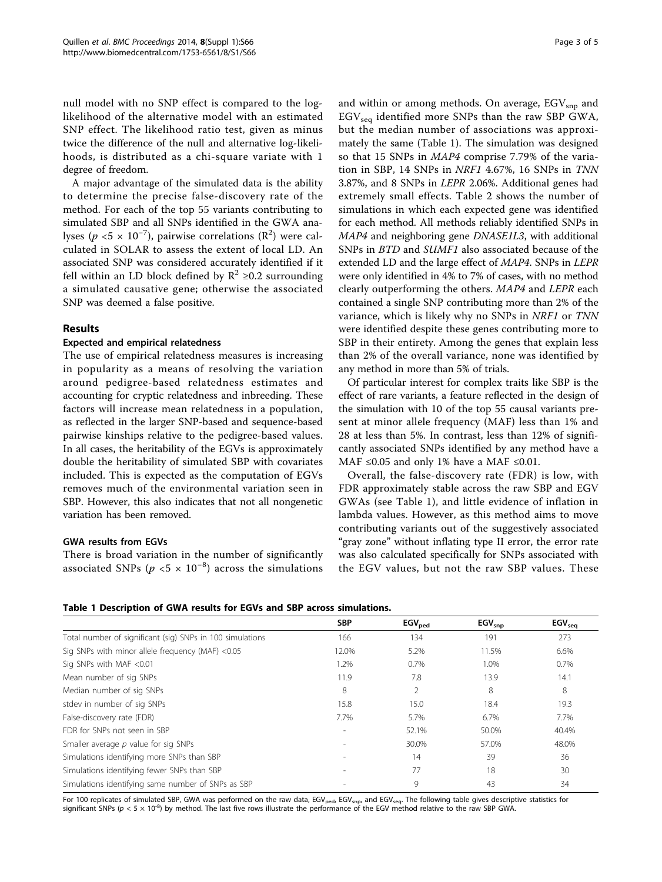<span id="page-2-0"></span>null model with no SNP effect is compared to the loglikelihood of the alternative model with an estimated SNP effect. The likelihood ratio test, given as minus twice the difference of the null and alternative log-likelihoods, is distributed as a chi-square variate with 1 degree of freedom.

A major advantage of the simulated data is the ability to determine the precise false-discovery rate of the method. For each of the top 55 variants contributing to simulated SBP and all SNPs identified in the GWA analyses ( $p < 5 \times 10^{-7}$ ), pairwise correlations (R<sup>2</sup>) were calculated in SOLAR to assess the extent of local LD. An associated SNP was considered accurately identified if it fell within an LD block defined by  $R^2 \ge 0.2$  surrounding a simulated causative gene; otherwise the associated SNP was deemed a false positive.

#### Results

# Expected and empirical relatedness

The use of empirical relatedness measures is increasing in popularity as a means of resolving the variation around pedigree-based relatedness estimates and accounting for cryptic relatedness and inbreeding. These factors will increase mean relatedness in a population, as reflected in the larger SNP-based and sequence-based pairwise kinships relative to the pedigree-based values. In all cases, the heritability of the EGVs is approximately double the heritability of simulated SBP with covariates included. This is expected as the computation of EGVs removes much of the environmental variation seen in SBP. However, this also indicates that not all nongenetic variation has been removed.

#### GWA results from EGVs

There is broad variation in the number of significantly associated SNPs ( $p < 5 \times 10^{-8}$ ) across the simulations

and within or among methods. On average,  $EGV<sub>snp</sub>$  and  $EGV<sub>seq</sub>$  identified more SNPs than the raw SBP GWA, but the median number of associations was approximately the same (Table 1). The simulation was designed so that 15 SNPs in MAP4 comprise 7.79% of the variation in SBP, 14 SNPs in NRF1 4.67%, 16 SNPs in TNN 3.87%, and 8 SNPs in LEPR 2.06%. Additional genes had extremely small effects. Table [2](#page-3-0) shows the number of simulations in which each expected gene was identified for each method. All methods reliably identified SNPs in MAP4 and neighboring gene DNASE1L3, with additional SNPs in BTD and SUMF1 also associated because of the extended LD and the large effect of MAP4. SNPs in LEPR were only identified in 4% to 7% of cases, with no method clearly outperforming the others. MAP4 and LEPR each contained a single SNP contributing more than 2% of the variance, which is likely why no SNPs in NRF1 or TNN were identified despite these genes contributing more to SBP in their entirety. Among the genes that explain less than 2% of the overall variance, none was identified by any method in more than 5% of trials.

Of particular interest for complex traits like SBP is the effect of rare variants, a feature reflected in the design of the simulation with 10 of the top 55 causal variants present at minor allele frequency (MAF) less than 1% and 28 at less than 5%. In contrast, less than 12% of significantly associated SNPs identified by any method have a MAF  $\leq 0.05$  and only 1% have a MAF  $\leq 0.01$ .

Overall, the false-discovery rate (FDR) is low, with FDR approximately stable across the raw SBP and EGV GWAs (see Table 1), and little evidence of inflation in lambda values. However, as this method aims to move contributing variants out of the suggestively associated "gray zone" without inflating type II error, the error rate was also calculated specifically for SNPs associated with the EGV values, but not the raw SBP values. These

|  | Table 1 Description of GWA results for EGVs and SBP across simulations. |  |  |  |  |  |  |
|--|-------------------------------------------------------------------------|--|--|--|--|--|--|
|--|-------------------------------------------------------------------------|--|--|--|--|--|--|

|                                                           | <b>SBP</b> | EGV <sub>ped</sub> | EGV <sub>snp</sub> | EGV <sub>sea</sub> |
|-----------------------------------------------------------|------------|--------------------|--------------------|--------------------|
| Total number of significant (sig) SNPs in 100 simulations | 166        | 134                | 191                | 273                |
| Sig SNPs with minor allele frequency (MAF) <0.05          | 12.0%      | 5.2%               | 11.5%              | 6.6%               |
| Sig SNPs with MAF <0.01                                   | 1.2%       | $0.7\%$            | 1.0%               | 0.7%               |
| Mean number of sig SNPs                                   | 11.9       | 7.8                | 13.9               | 14.1               |
| Median number of sig SNPs                                 | 8          | 2                  | 8                  | 8                  |
| stdev in number of sig SNPs                               | 15.8       | 15.0               | 18.4               | 19.3               |
| False-discovery rate (FDR)                                | 7.7%       | 5.7%               | 6.7%               | 7.7%               |
| FDR for SNPs not seen in SBP                              |            | 52.1%              | 50.0%              | 40.4%              |
| Smaller average $p$ value for sig SNPs                    |            | 30.0%              | 57.0%              | 48.0%              |
| Simulations identifying more SNPs than SBP                |            | 14                 | 39                 | 36                 |
| Simulations identifying fewer SNPs than SBP               |            | 77                 | 18                 | 30                 |
| Simulations identifying same number of SNPs as SBP        |            | 9                  | 43                 | 34                 |

For 100 replicates of simulated SBP, GWA was performed on the raw data, EGV<sub>ped</sub>, EGV<sub>snp</sub>, and EGV<sub>seq</sub>. The following table gives descriptive statistics for significant SNPs ( $p < 5 \times 10^{-8}$ ) by method. The last five rows illustrate the performance of the EGV method relative to the raw SBP GWA.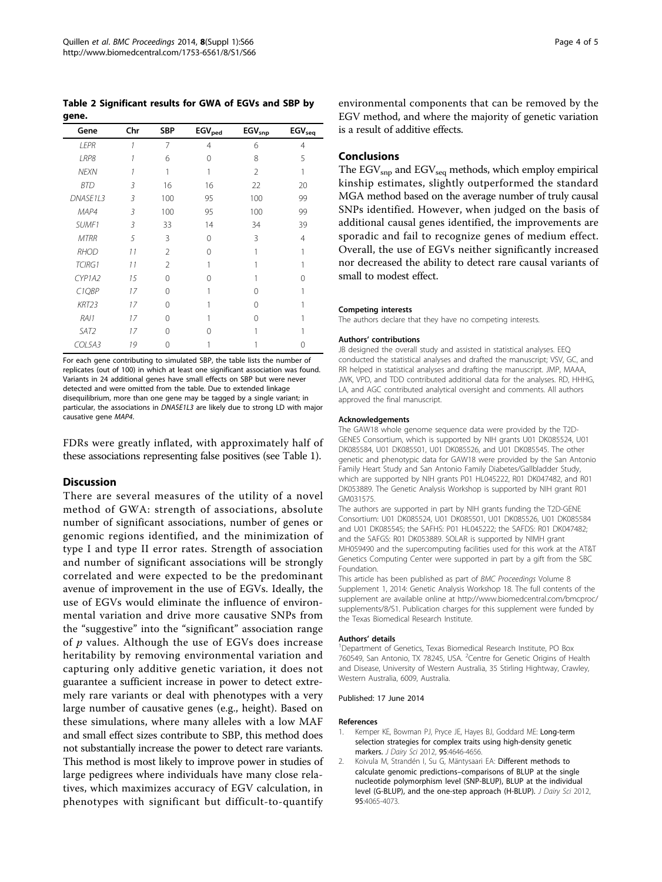<span id="page-3-0"></span>Table 2 Significant results for GWA of EGVs and SBP by gene.

| Gene        | Chr | <b>SBP</b>     | <b>EGV</b> <sub>ped</sub> | <b>EGV</b> <sub>snp</sub> | <b>EGV</b> <sub>seq</sub> |
|-------------|-----|----------------|---------------------------|---------------------------|---------------------------|
| LEPR        | 1   | 7              | 4                         | 6                         | 4                         |
| LRP8        |     | 6              | 0                         | 8                         | 5                         |
| <b>NEXN</b> | 1   | 1              | 1                         | 2                         | 1                         |
| <b>BTD</b>  | 3   | 16             | 16                        | 22                        | 20                        |
| DNASE1L3    | 3   | 100            | 95                        | 100                       | 99                        |
| MAP4        | 3   | 100            | 95                        | 100                       | 99                        |
| SUMF1       | 3   | 33             | 14                        | 34                        | 39                        |
| <b>MTRR</b> | 5   | 3              | 0                         | 3                         | 4                         |
| <b>RHOD</b> | 11  | $\mathfrak{D}$ | 0                         |                           |                           |
| TCIRG1      | 11  | 2              |                           |                           |                           |
| CYP1A2      | 15  | $\Omega$       | ∩                         |                           | Λ                         |
| C1QBP       | 17  | 0              |                           | Ω                         |                           |
| KRT23       | 17  | $\Omega$       |                           | ∩                         |                           |
| RAI1        | 17  | Ω              |                           | ∩                         |                           |
| SAT2        | 17  | 0              | Λ                         |                           |                           |
| COL5A3      | 19  | Λ              |                           |                           |                           |

For each gene contributing to simulated SBP, the table lists the number of replicates (out of 100) in which at least one significant association was found. Variants in 24 additional genes have small effects on SBP but were never detected and were omitted from the table. Due to extended linkage disequilibrium, more than one gene may be tagged by a single variant; in particular, the associations in DNASE1L3 are likely due to strong LD with major causative gene MAP4.

FDRs were greatly inflated, with approximately half of these associations representing false positives (see Table [1\)](#page-2-0).

# **Discussion**

There are several measures of the utility of a novel method of GWA: strength of associations, absolute number of significant associations, number of genes or genomic regions identified, and the minimization of type I and type II error rates. Strength of association and number of significant associations will be strongly correlated and were expected to be the predominant avenue of improvement in the use of EGVs. Ideally, the use of EGVs would eliminate the influence of environmental variation and drive more causative SNPs from the "suggestive" into the "significant" association range of  $p$  values. Although the use of EGVs does increase heritability by removing environmental variation and capturing only additive genetic variation, it does not guarantee a sufficient increase in power to detect extremely rare variants or deal with phenotypes with a very large number of causative genes (e.g., height). Based on these simulations, where many alleles with a low MAF and small effect sizes contribute to SBP, this method does not substantially increase the power to detect rare variants. This method is most likely to improve power in studies of large pedigrees where individuals have many close relatives, which maximizes accuracy of EGV calculation, in phenotypes with significant but difficult-to-quantify

environmental components that can be removed by the EGV method, and where the majority of genetic variation is a result of additive effects.

#### Conclusions

The  $EGV_{\text{snp}}$  and  $EGV_{\text{seq}}$  methods, which employ empirical kinship estimates, slightly outperformed the standard MGA method based on the average number of truly causal SNPs identified. However, when judged on the basis of additional causal genes identified, the improvements are sporadic and fail to recognize genes of medium effect. Overall, the use of EGVs neither significantly increased nor decreased the ability to detect rare causal variants of small to modest effect.

#### Competing interests

The authors declare that they have no competing interests.

#### Authors' contributions

JB designed the overall study and assisted in statistical analyses. EEQ conducted the statistical analyses and drafted the manuscript; VSV, GC, and RR helped in statistical analyses and drafting the manuscript. JMP, MAAA, JWK, VPD, and TDD contributed additional data for the analyses. RD, HHHG, LA, and AGC contributed analytical oversight and comments. All authors approved the final manuscript.

#### Acknowledgements

The GAW18 whole genome sequence data were provided by the T2D-GENES Consortium, which is supported by NIH grants U01 DK085524, U01 DK085584, U01 DK085501, U01 DK085526, and U01 DK085545. The other genetic and phenotypic data for GAW18 were provided by the San Antonio Family Heart Study and San Antonio Family Diabetes/Gallbladder Study, which are supported by NIH grants P01 HL045222, R01 DK047482, and R01 DK053889. The Genetic Analysis Workshop is supported by NIH grant R01 GM031575.

The authors are supported in part by NIH grants funding the T2D-GENE Consortium: U01 DK085524, U01 DK085501, U01 DK085526, U01 DK085584 and U01 DK085545; the SAFHS: P01 HL045222; the SAFDS: R01 DK047482; and the SAFGS: R01 DK053889. SOLAR is supported by NIMH grant MH059490 and the supercomputing facilities used for this work at the AT&T Genetics Computing Center were supported in part by a gift from the SBC Foundation.

This article has been published as part of BMC Proceedings Volume 8 Supplement 1, 2014: Genetic Analysis Workshop 18. The full contents of the supplement are available online at [http://www.biomedcentral.com/bmcproc/](http://www.biomedcentral.com/bmcproc/supplements/8/S1) [supplements/8/S1.](http://www.biomedcentral.com/bmcproc/supplements/8/S1) Publication charges for this supplement were funded by the Texas Biomedical Research Institute.

#### Authors' details <sup>1</sup>

<sup>1</sup>Department of Genetics, Texas Biomedical Research Institute, PO Box 760549, San Antonio, TX 78245, USA. <sup>2</sup> Centre for Genetic Origins of Health and Disease, University of Western Australia, 35 Stirling Hightway, Crawley, Western Australia, 6009, Australia.

Published: 17 June 2014

#### References

- 1. Kemper KE, Bowman PJ, Pryce JE, Hayes BJ, Goddard ME: [Long-term](http://www.ncbi.nlm.nih.gov/pubmed/22818479?dopt=Abstract) [selection strategies for complex traits using high-density genetic](http://www.ncbi.nlm.nih.gov/pubmed/22818479?dopt=Abstract) [markers.](http://www.ncbi.nlm.nih.gov/pubmed/22818479?dopt=Abstract) J Dairy Sci 2012, 95:4646-4656.
- 2. Koivula M, Strandén I, Su G, Mäntysaari EA: [Different methods to](http://www.ncbi.nlm.nih.gov/pubmed/22720963?dopt=Abstract) calculate genomic predictions–[comparisons of BLUP at the single](http://www.ncbi.nlm.nih.gov/pubmed/22720963?dopt=Abstract) [nucleotide polymorphism level \(SNP-BLUP\), BLUP at the individual](http://www.ncbi.nlm.nih.gov/pubmed/22720963?dopt=Abstract) [level \(G-BLUP\), and the one-step approach \(H-BLUP\).](http://www.ncbi.nlm.nih.gov/pubmed/22720963?dopt=Abstract) J Dairy Sci 2012, 95:4065-4073.